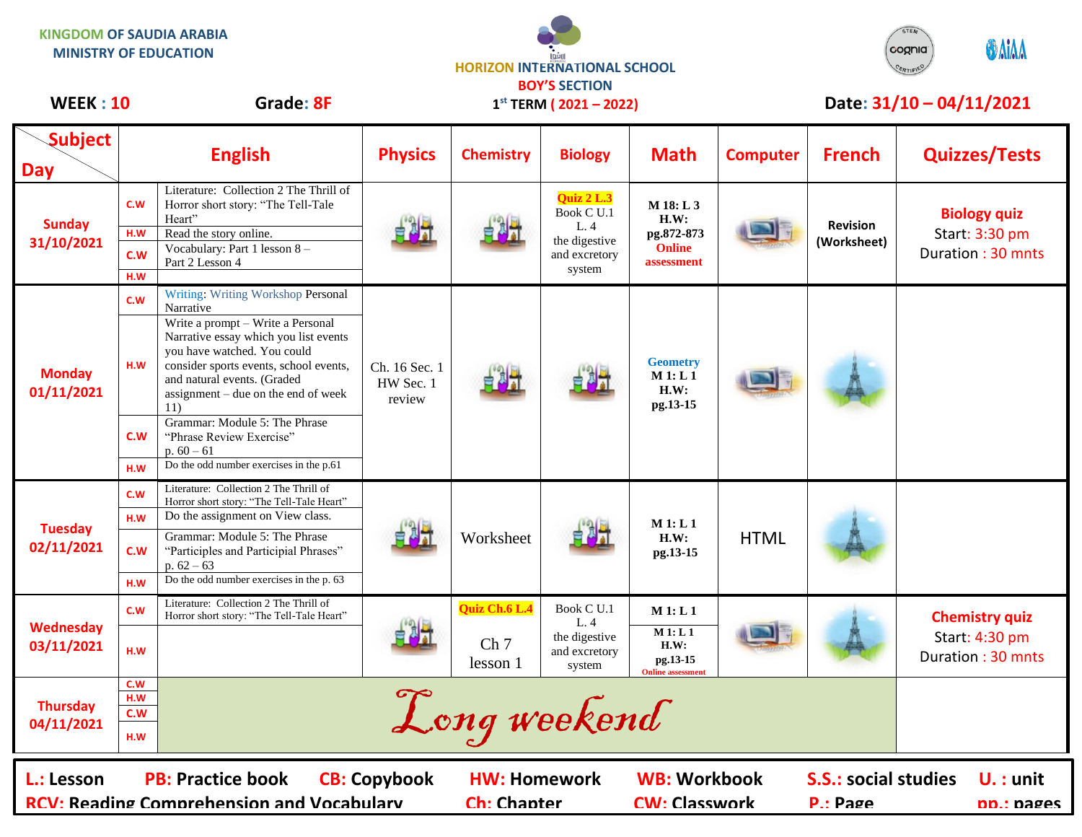**KINGDOM OF SAUDIA ARABIA MINISTRY OF EDUCATION**





## WEEK : 10 Grade: 8F 1<sup>st</sup> TERM (2021 – 2022) Date: 31/10 – 04/11/2021

| <b>Subject</b><br><b>Day</b>                                                                                      |                     | <b>English</b>                                                                                                                                                                                                                   | <b>Physics</b>                       | <b>Chemistry</b>                          | <b>Biology</b>                                                              | <b>Math</b>                                                      | <b>Computer</b> | <b>French</b>                           | <b>Quizzes/Tests</b>                                       |
|-------------------------------------------------------------------------------------------------------------------|---------------------|----------------------------------------------------------------------------------------------------------------------------------------------------------------------------------------------------------------------------------|--------------------------------------|-------------------------------------------|-----------------------------------------------------------------------------|------------------------------------------------------------------|-----------------|-----------------------------------------|------------------------------------------------------------|
| <b>Sunday</b><br>31/10/2021                                                                                       | C.W                 | Literature: Collection 2 The Thrill of<br>Horror short story: "The Tell-Tale<br>Heart"                                                                                                                                           |                                      |                                           | Quiz 2 L.3<br>Book C U.1<br>L.4<br>the digestive<br>and excretory<br>system | $M$ 18: L 3<br>H.W:<br>pg.872-873<br><b>Online</b><br>assessment |                 | <b>Revision</b><br>(Worksheet)          | <b>Biology quiz</b><br>Start: 3:30 pm<br>Duration: 30 mnts |
|                                                                                                                   | H.W<br>C.W          | Read the story online.<br>Vocabulary: Part 1 lesson 8 -<br>Part 2 Lesson 4                                                                                                                                                       |                                      |                                           |                                                                             |                                                                  |                 |                                         |                                                            |
|                                                                                                                   | H.W                 |                                                                                                                                                                                                                                  |                                      |                                           |                                                                             |                                                                  |                 |                                         |                                                            |
| <b>Monday</b><br>01/11/2021                                                                                       | C.W                 | Writing: Writing Workshop Personal<br>Narrative                                                                                                                                                                                  | Ch. 16 Sec. 1<br>HW Sec. 1<br>review |                                           |                                                                             | <b>Geometry</b><br>M1: L1<br>H.W:<br>pg.13-15                    |                 |                                         |                                                            |
|                                                                                                                   | H.W                 | Write a prompt - Write a Personal<br>Narrative essay which you list events<br>you have watched. You could<br>consider sports events, school events,<br>and natural events. (Graded<br>assignment - due on the end of week<br>11) |                                      |                                           |                                                                             |                                                                  |                 |                                         |                                                            |
|                                                                                                                   | C.W                 | Grammar: Module 5: The Phrase<br>"Phrase Review Exercise"<br>$p.60 - 61$                                                                                                                                                         |                                      |                                           |                                                                             |                                                                  |                 |                                         |                                                            |
|                                                                                                                   | H.W                 | Do the odd number exercises in the p.61                                                                                                                                                                                          |                                      |                                           |                                                                             |                                                                  |                 |                                         |                                                            |
| <b>Tuesday</b><br>02/11/2021                                                                                      | C.W                 | Literature: Collection 2 The Thrill of<br>Horror short story: "The Tell-Tale Heart"                                                                                                                                              |                                      | Worksheet                                 |                                                                             | M1: L1<br>H.W:<br>pg.13-15                                       | <b>HTML</b>     |                                         |                                                            |
|                                                                                                                   | H.W                 | Do the assignment on View class.                                                                                                                                                                                                 |                                      |                                           |                                                                             |                                                                  |                 |                                         |                                                            |
|                                                                                                                   | c.w                 | Grammar: Module 5: The Phrase<br>"Participles and Participial Phrases"<br>p. $62 - 63$                                                                                                                                           |                                      |                                           |                                                                             |                                                                  |                 |                                         |                                                            |
|                                                                                                                   | H.W                 | Do the odd number exercises in the p. 63                                                                                                                                                                                         |                                      |                                           |                                                                             |                                                                  |                 |                                         |                                                            |
| Wednesday<br>03/11/2021                                                                                           | C.W                 | Literature: Collection 2 The Thrill of<br>Horror short story: "The Tell-Tale Heart"                                                                                                                                              |                                      | Quiz Ch.6 L.4                             | Book C $\rm U.1$<br>L.4                                                     | M 1: L 1                                                         |                 |                                         | <b>Chemistry quiz</b>                                      |
|                                                                                                                   | H.W                 |                                                                                                                                                                                                                                  |                                      | Ch <sub>7</sub><br>lesson 1               | the digestive<br>and excretory<br>system                                    | M1: L1<br>H.W:<br>pg.13-15<br><b>Online</b> assessment           |                 |                                         | Start: 4:30 pm<br>Duration: 30 mnts                        |
|                                                                                                                   | C.W<br>H.W          |                                                                                                                                                                                                                                  |                                      |                                           |                                                                             |                                                                  |                 |                                         |                                                            |
| <b>Thursday</b>                                                                                                   | Long weekend<br>C.W |                                                                                                                                                                                                                                  |                                      |                                           |                                                                             |                                                                  |                 |                                         |                                                            |
| 04/11/2021                                                                                                        | H.W                 |                                                                                                                                                                                                                                  |                                      |                                           |                                                                             |                                                                  |                 |                                         |                                                            |
| <b>PB: Practice book</b><br>L.: Lesson<br><b>CB: Copybook</b><br><b>RCV: Reading Comprehension and Vocabularv</b> |                     |                                                                                                                                                                                                                                  |                                      | <b>HW: Homework</b><br><b>Ch: Chapter</b> |                                                                             | <b>WB: Workbook</b><br><b>CW: Classwork</b>                      |                 | <b>S.S.: social studies</b><br>P.: Page | $U.$ : unit<br><b>pp.: pages</b>                           |